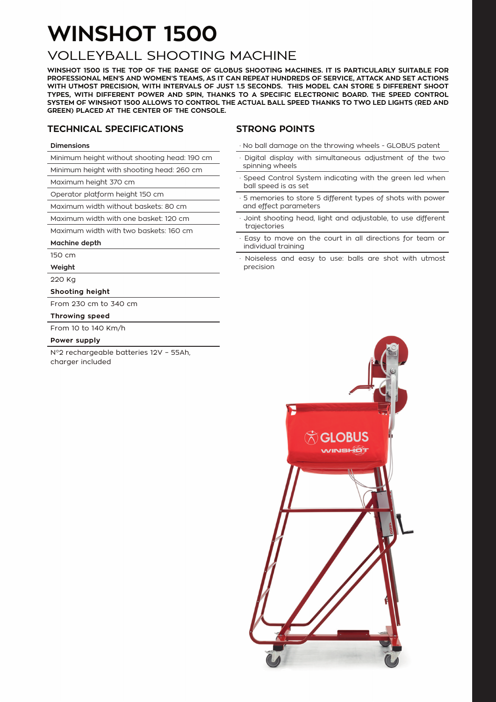# **WINSHOT 1500**

### VOLLEYBALL SHOOTING MACHINE

**WINSHOT 1500 IS THE TOP OF THE RANGE OF GLOBUS SHOOTING MACHINES. IT IS PARTICULARLY SUITABLE FOR PROFESSIONAL MEN'S AND WOMEN'S TEAMS, AS IT CAN REPEAT HUNDREDS OF SERVICE, ATTACK AND SET ACTIONS WITH UTMOST PRECISION, WITH INTERVALS OF JUST 1.5 SECONDS. THIS MODEL CAN STORE 5 DIFFERENT SHOOT TYPES, WITH DIFFERENT POWER AND SPIN, THANKS TO A SPECIFIC ELECTRONIC BOARD. THE SPEED CONTROL SYSTEM OF WINSHOT 1500 ALLOWS TO CONTROL THE ACTUAL BALL SPEED THANKS TO TWO LED LIGHTS (RED AND GREEN) PLACED AT THE CENTER OF THE CONSOLE.**

#### **TECHNICAL SPECIFICATIONS**

#### **STRONG POINTS**

#### **Dimensions**

Minimum height without shooting head: 190 cm

Minimum height with shooting head: 260 cm

Maximum height 370 cm

Operator platform height 150 cm

Maximum width without baskets: 80 cm

Maximum width with one basket: 120 cm

Maximum width with two baskets: 160 cm

#### **Machine depth**

150 cm

**Weight**

220 Kg

**Shooting height** 

From 230 cm to 340 cm

#### **Throwing speed**

From 10 to 140 Km/h

#### **Power supply**

N°2 rechargeable batteries 12V – 55Ah, charger included

· No ball damage on the throwing wheels - GLOBUS patent

- · Digital display with simultaneous adjustment of the two spinning wheels
- Speed Control System indicating with the green led when ball speed is as set
- · 5 memories to store 5 different types of shots with power and effect parameters
- Joint shooting head, light and adjustable, to use different trajectories
- Easy to move on the court in all directions for team or individual training
- Noiseless and easy to use: balls are shot with utmost precision